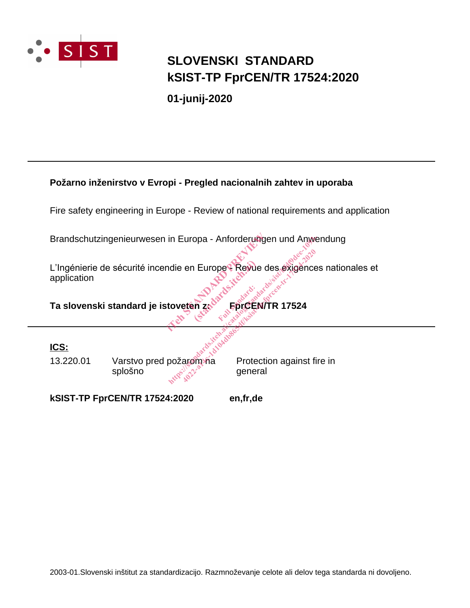

# **SLOVENSKI STANDARD kSIST-TP FprCEN/TR 17524:2020**

**01-junij-2020**

|  |  |  |  | Požarno inženirstvo v Evropi - Pregled nacionalnih zahtev in uporaba |  |  |
|--|--|--|--|----------------------------------------------------------------------|--|--|
|--|--|--|--|----------------------------------------------------------------------|--|--|

Fire safety engineering in Europe - Review of national requirements and application

Brandschutzingenieurwesen in Europa - Anforderungen und Anwendung

L'Ingénierie de sécurité incendie en Europe - Revue des exigences nationales et application in Europa - Anforderungen u Europes Reine in Europa - Anforderungen und Anwer<br>Indie en Europa - Revue des exigences<br>Indie en Europa - Revue des exigences<br>Indian - Epice EN/TR 17524<br>Sistemannia - Protection against fire<br>požaromsha - Protection against fire en Europes Revue des exigences

**Ta slovenski standard je istoveten z:** 

FprCEN/TR 17524

**ICS:**

13.220.01 Varstvo pred požarom na splošno

Protection against fire in general

**kSIST-TP FprCEN/TR 17524:2020 en,fr,de**

2003-01.Slovenski inštitut za standardizacijo. Razmnoževanje celote ali delov tega standarda ni dovoljeno.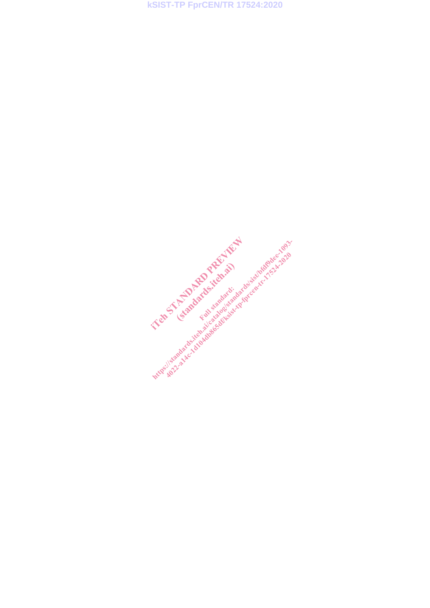## kSIST-TP FprCEN/TR 17524:2020

Interest is a control of the processes of the control of the control of the control of the control of the control of the control of the control of the control of the control of the control of the control of the control of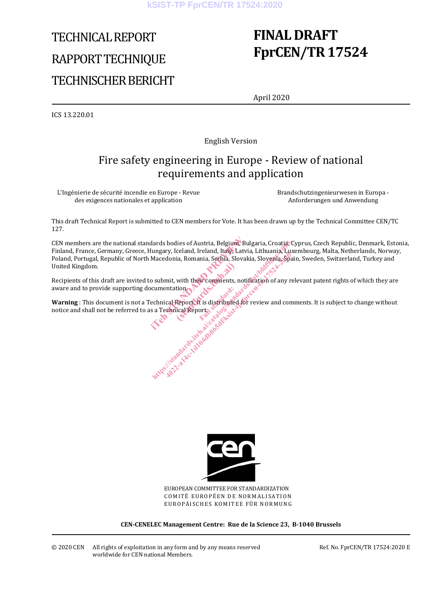# TECHNICAL REPORT RAPPORT TECHNIQUE TECHNISCHER BERICHT

# **FINAL DRAFT FprCEN/TR 17524**

April 2020

ICS 13.220.01

English Version

# Fire safety engineering in Europe - Review of national requirements and application

L'Ingénierie de sécurité incendie en Europe - Revue des exigences nationales et application

 Brandschutzingenieurwesen in Europa - Anforderungen und Anwendung

This draft Technical Report is submitted to CEN members for Vote. It has been drawn up by the Technical Committee CEN/TC 127.

CEN members are the national standards bodies of Austria, Belgium, Bulgaria, Croatia, Cyprus, Czech Republic, Denmark, Estonia, Finland, France, Germany, Greece, Hungary, Iceland, Ireland, Italy, Latvia, Lithuania, Luxembourg, Malta, Netherlands, Norway, Poland, Portugal, Republic of North Macedonia, Romania, Serbia, Slovakia, Slovenia, Spain, Sweden, Switzerland, Turkey and United Kingdom. United Kingdom. dards bodies of Austria, Belgium, Bulgar<br>Iungary, Iceland, Ireland, Italy, Latvia, Li<br>Macedonia, Romania, Serbia, Slovakia, S<br>Io submit, with their comments, notifieat<br>commentation<br>commentation<br>echnical Report It is distri https://standards.iteh.ai/catalogy.com/sist/bandards.iteh.ai/catalogy.com/sist/bandards.iteh.ai/catalogy.com/sist/bandards.iteh.ai/catalogy.com/sist/bandards.iteh.ai/catalogy.com/sist/bandards.iteh.ai/catalogy.com/sist/ban

Recipients of this draft are invited to submit, with their comments, notification of any relevant patent rights of which they are aware and to provide supporting documentation. with their comments, n

Warning : This document is not a Technical Report. It is distributed for review and comments. It is subject to change without notice and shall not be referred to as a Technical Report.



EUROPEAN COMMITTEE FOR STANDARDIZATION COMITÉ EUROPÉEN DE NORMALISATION EUROPÄISCHES KOMITEE FÜR NORMUNG

**CEN-CENELEC Management Centre: Rue de la Science 23, B-1040 Brussels** 

Ref. No. FprCEN/TR 17524:2020 E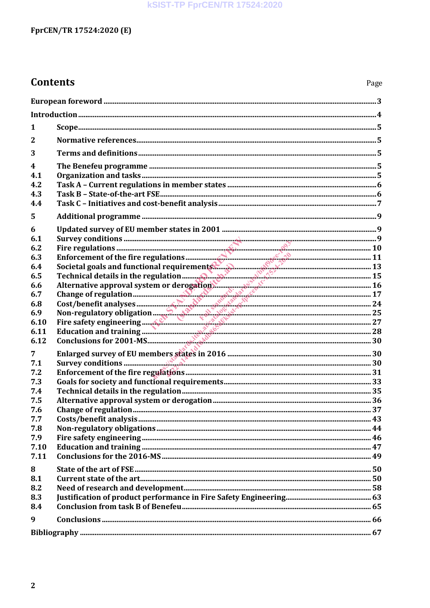# **Contents**

| 1                       |                                                                                                                                                                                                                                |  |  |  |
|-------------------------|--------------------------------------------------------------------------------------------------------------------------------------------------------------------------------------------------------------------------------|--|--|--|
| $\mathbf{2}$            |                                                                                                                                                                                                                                |  |  |  |
| 3                       |                                                                                                                                                                                                                                |  |  |  |
| $\overline{\mathbf{4}}$ |                                                                                                                                                                                                                                |  |  |  |
| 4.1                     |                                                                                                                                                                                                                                |  |  |  |
| 4.2                     |                                                                                                                                                                                                                                |  |  |  |
| 4.3                     |                                                                                                                                                                                                                                |  |  |  |
| 4.4                     |                                                                                                                                                                                                                                |  |  |  |
| 5                       |                                                                                                                                                                                                                                |  |  |  |
| 6                       |                                                                                                                                                                                                                                |  |  |  |
| 6.1                     |                                                                                                                                                                                                                                |  |  |  |
| 6.2                     |                                                                                                                                                                                                                                |  |  |  |
| 6.3                     |                                                                                                                                                                                                                                |  |  |  |
| 6.4                     | Societal goals and functional requirements and the contract of the 13                                                                                                                                                          |  |  |  |
| 6.5                     | Technical details in the regulation and the second state of the second state of the second state of the second state of the second state of the second state of the second state of the second state of the second state of th |  |  |  |
| 6.6                     |                                                                                                                                                                                                                                |  |  |  |
| 6.7                     |                                                                                                                                                                                                                                |  |  |  |
| 6.8                     |                                                                                                                                                                                                                                |  |  |  |
| 6.9                     | Non-regulatory obligation and the safety engineering and the safety engineering and the safety engineering and the safety and the safety engineering and the safety engineering and the safety engineering and the safety engi |  |  |  |
| 6.10<br>6.11            |                                                                                                                                                                                                                                |  |  |  |
| 6.12                    |                                                                                                                                                                                                                                |  |  |  |
|                         |                                                                                                                                                                                                                                |  |  |  |
| 7                       |                                                                                                                                                                                                                                |  |  |  |
| 7.1                     |                                                                                                                                                                                                                                |  |  |  |
| 7.2                     |                                                                                                                                                                                                                                |  |  |  |
| 7.3<br>7.4              |                                                                                                                                                                                                                                |  |  |  |
| 7.5                     |                                                                                                                                                                                                                                |  |  |  |
| 7.6                     |                                                                                                                                                                                                                                |  |  |  |
| 7.7                     |                                                                                                                                                                                                                                |  |  |  |
| 7.8                     |                                                                                                                                                                                                                                |  |  |  |
| 7.9                     |                                                                                                                                                                                                                                |  |  |  |
| 7.10                    |                                                                                                                                                                                                                                |  |  |  |
| 7.11                    |                                                                                                                                                                                                                                |  |  |  |
| 8                       |                                                                                                                                                                                                                                |  |  |  |
| 8.1                     |                                                                                                                                                                                                                                |  |  |  |
| 8.2                     |                                                                                                                                                                                                                                |  |  |  |
| 8.3                     |                                                                                                                                                                                                                                |  |  |  |
| 8.4                     |                                                                                                                                                                                                                                |  |  |  |
| 9                       |                                                                                                                                                                                                                                |  |  |  |
|                         |                                                                                                                                                                                                                                |  |  |  |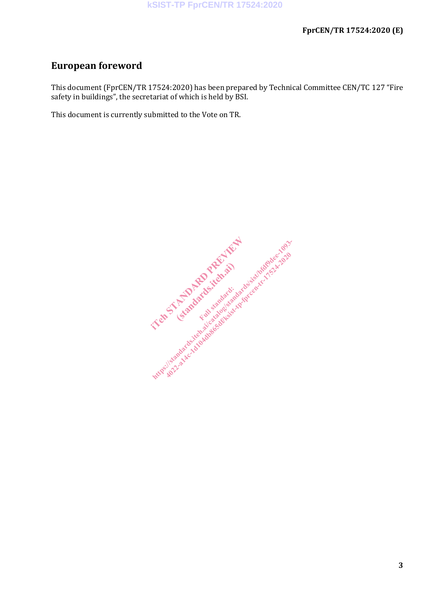# **European foreword**

This document (FprCEN/TR 17524:2020) has been prepared by Technical Committee CEN/TC 127 "Fire safety in buildings", the secretariat of which is held by BSI.

This document is currently submitted to the Vote on TR.

In Strandard Reports of the Assembly **Kandards.iteh.ai)**<br>Grandards.iteh.ai https://standards.iteh.ai/catalog/sist/proper.1093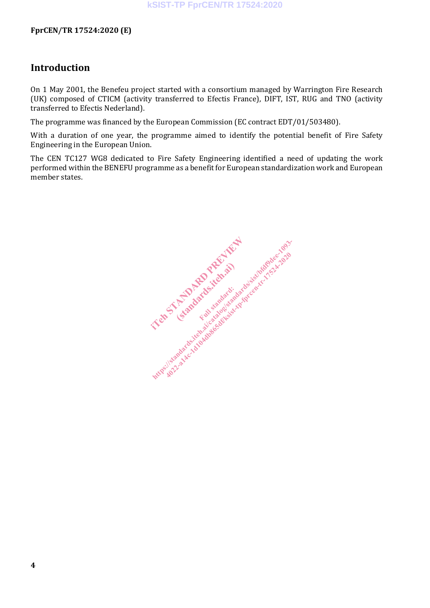# **Introduction**

On 1 May 2001, the Benefeu project started with a consortium managed by Warrington Fire Research (UK) composed of CTICM (activity transferred to Efectis France), DIFT, IST, RUG and TNO (activity transferred to Efectis Nederland).

The programme was financed by the European Commission (EC contract EDT/01/503480).

With a duration of one year, the programme aimed to identify the potential benefit of Fire Safety Engineering in the European Union.

The CEN TC127 WG8 dedicated to Fire Safety Engineering identified a need of updating the work performed within the BENEFU programme as a benefit for European standardization work and European member states.

In Strandard Reports of the Assembly **Kandards.iteh.ai)**<br>Grandards.iteh.ai https://standards.iteh.ai/catalog/sist/proper.1093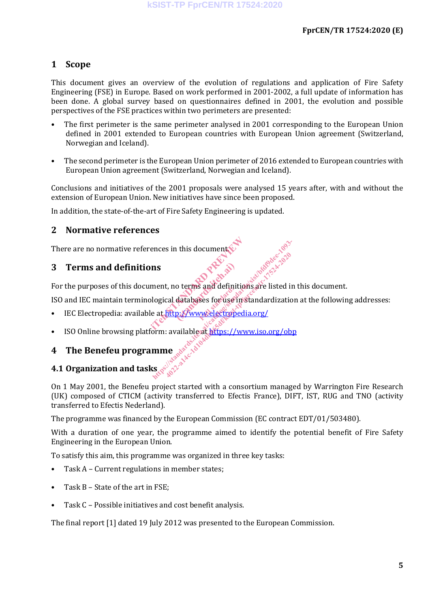## **1 Scope**

This document gives an overview of the evolution of regulations and application of Fire Safety Engineering (FSE) in Europe. Based on work performed in 2001-2002, a full update of information has been done. A global survey based on questionnaires defined in 2001, the evolution and possible perspectives of the FSE practices within two perimeters are presented:

- The first perimeter is the same perimeter analysed in 2001 corresponding to the European Union defined in 2001 extended to European countries with European Union agreement (Switzerland, Norwegian and Iceland).
- The second perimeter is the European Union perimeter of 2016 extended to European countries with European Union agreement (Switzerland, Norwegian and Iceland).

Conclusions and initiatives of the 2001 proposals were analysed 15 years after, with and without the extension of European Union. New initiatives have since been proposed.

In addition, the state-of-the-art of Fire Safety Engineering is updated.

### **2 Normative references**

There are no normative references in this document.

## **3 Terms and definitions**

For the purposes of this document, no terms and definitions are listed in this document.

ISO and IEC maintain terminological databases for use in standardization at the following addresses: ences in this documents.<br> **ns**<br>
ment, no terms and definitions are listed in<br>
logical databases for use in standardization<br>
e at http://www.electropedia.org/<br>
orm: available at https://www.iso.org/obp<br> **mme** a sa<sup>te-1093</sup> 4022-a14c-1022-a14c-1022-a14c-1022-a14c-1022-a14c-1022-a14c-1022-a14c-1022-a14c-1022-a14c-1022-a14c-1022-a14c-<br>cal databases for use in standardization<br>http://www.electropedia.org/<br>available at https://www.iso.org/ob

- For the purposes of this document, no terms and definitions are<br>ISO and IEC maintain terminological databases for use in standard:<br>FIEC Electropedia: available at http://www.electropedia.org/ ences in this document o terms and definite<br>databases for use in<br>p://www.electrope
- ISO Online browsing platform: available at https://www.iso.org/obp

# **4 The Benefeu programme**

# **4.1 Organization and tasks**

On 1 May 2001, the Benefeu project started with a consortium managed by Warrington Fire Research (UK) composed of CTICM (activity transferred to Efectis France), DIFT, IST, RUG and TNO (activity transferred to Efectis Nederland).

The programme was financed by the European Commission (EC contract EDT/01/503480).

With a duration of one year, the programme aimed to identify the potential benefit of Fire Safety Engineering in the European Union.

To satisfy this aim, this programme was organized in three key tasks:

- Task A Current regulations in member states;
- Task B State of the art in FSE;
- Task C Possible initiatives and cost benefit analysis.

The final report [1] dated 19 July 2012 was presented to the European Commission.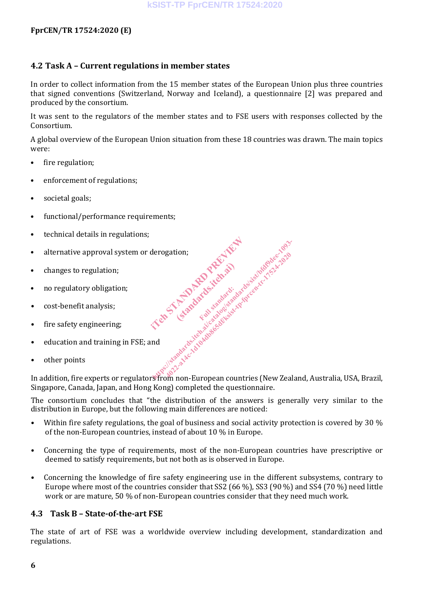#### **4.2 Task A – Current regulations in member states**

In order to collect information from the 15 member states of the European Union plus three countries that signed conventions (Switzerland, Norway and Iceland), a questionnaire [2] was prepared and produced by the consortium.

It was sent to the regulators of the member states and to FSE users with responses collected by the Consortium.

A global overview of the European Union situation from these 18 countries was drawn. The main topics were:

- fire regulation;
- enforcement of regulations;
- societal goals;
- functional/performance requirements;
- technical details in regulations;
- alternative approval system or derogation; alternative approval system or derogation;<br>
changes to regulation;<br>
no regulatory obligation;<br>
cost-benefit analysis;<br>
fire safety engineering;<br>
education and  $t$ .
- changes to regulation;
- no regulatory obligation;
- cost-benefit analysis;
- fire safety engineering;
- education and training in FSE; and
- other points

In addition, fire experts or regulators from non-European countries (New Zealand, Australia, USA, Brazil, Singapore, Canada, Japan, and Hong Kong) completed the questionnaire. derogation;<br>derogation;<br>derogation;<br>and standards.iteh.ai/catalogisting.informal.com<br>derogation;<br>and standard ideals.iteh.ai/catalogisting.informal.com<br>companies.iteh.ai/catalogisting.informal.com<br>companies.iteh.ai Batton; and Records of the Manuscript of the Manuscript of the Manuscript of the Manuscript of the Manuscript of the Manuscript of the Manuscript of the Manuscript of the Manuscript of the Manuscript of the Manuscript of t

**Kandards.iteh.ai)**<br>Grandards.iteh.ai

The consortium concludes that "the distribution of the answers is generally very similar to the distribution in Europe, but the following main differences are noticed:

- Within fire safety regulations, the goal of business and social activity protection is covered by 30  $\%$ of the non-European countries, instead of about 10 % in Europe.
- Concerning the type of requirements, most of the non-European countries have prescriptive or deemed to satisfy requirements, but not both as is observed in Europe.
- Concerning the knowledge of fire safety engineering use in the different subsystems, contrary to Europe where most of the countries consider that SS2 (66 %), SS3 (90 %) and SS4 (70 %) need little work or are mature, 50 % of non-European countries consider that they need much work.

#### **4.3 Task B – State-of-the-art FSE**

The state of art of FSE was a worldwide overview including development, standardization and regulations.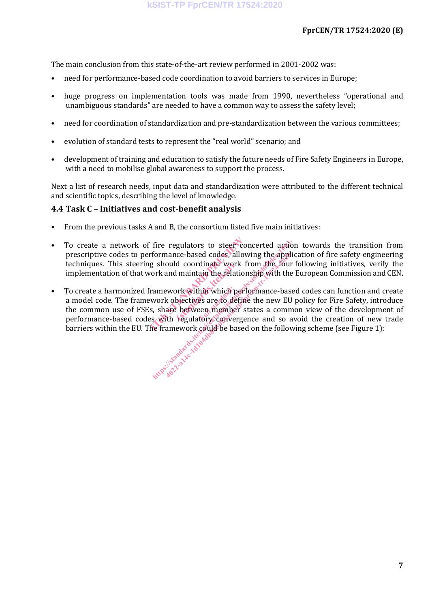The main conclusion from this state-of-the-art review performed in 2001-2002 was:

- need for performance-based code coordination to avoid barriers to services in Europe;
- huge progress on implementation tools was made from 1990, nevertheless "operational and unambiguous standards" are needed to have a common way to assess the safety level;
- need for coordination of standardization and pre-standardization between the various committees;
- evolution of standard tests to represent the "real world" scenario; and
- development of training and education to satisfy the future needs of Fire Safety Engineers in Europe, with a need to mobilise global awareness to support the process.

Next a list of research needs, input data and standardization were attributed to the different technical and scientific topics, describing the level of knowledge.

#### **4.4 Task C – Initiatives and cost-benefit analysis**

- From the previous tasks A and B, the consortium listed five main initiatives:
- To create a network of fire regulators to steer concerted action towards the transition from prescriptive codes to performance-based codes, allowing the application of fire safety engineering techniques. This steering should coordinate work from the four following initiatives, verify the implementation of that work and maintain the relationship with the European Commission and CEN.
- To create a harmonized framework within which performance-based codes can function and create a model code. The framework objectives are to define the new EU policy for Fire Safety, introduce the common use of FSEs, share between member states a common view of the development of performance-based codes with regulatory convergence and so avoid the creation of new trade barriers within the EU. The framework could be based on the following scheme (see Figure 1): fire regulators to steer conce<br>rformance-based codes, allowing<br>g should coordinate work from<br>rork and maintain the relationship<br>ramework within which perform<br>work objectives are to define the<br>s, share between member state<br> d coordinate work<br>I maintain the relation<br>Singlectives are to deference the<br>Full state in the regulatory<br>Full standard converts<br>Full standard converts fire regulators to steer concerted action<br>formance-based codes, allowing the applic<br>g should coordinate work from the four f<br>ork and maintain the relationship with the l<br>amework within which performance-base<br>work objective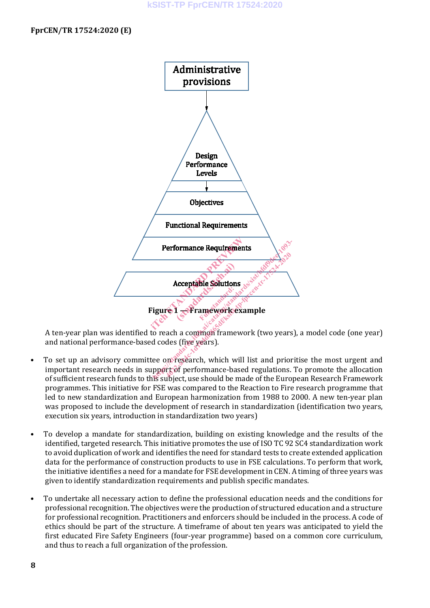**kSIST-TP FprCEN/TR 17524:2020**



A ten-year plan was identified to reach a common framework (two years), a model code (one year) and national performance-based codes (five years).

- To set up an advisory committee on research, which will list and prioritise the most urgent and important research needs in support of performance-based regulations. To promote the allocation of sufficient research funds to this subject, use should be made of the European Research Framework programmes. This initiative for FSE was compared to the Reaction to Fire research programme that led to new standardization and European harmonization from 1988 to 2000. A new ten-year plan was proposed to include the development of research in standardization (identification two years, execution six years, introduction in standardization two years)
- To develop a mandate for standardization, building on existing knowledge and the results of the identified, targeted research. This initiative promotes the use of ISO TC 92 SC4 standardization work to avoid duplication of work and identifies the need for standard tests to create extended application data for the performance of construction products to use in FSE calculations. To perform that work, the initiative identifies a need for a mandate for FSE development in CEN. A timing of three years was given to identify standardization requirements and publish specific mandates.
- To undertake all necessary action to define the professional education needs and the conditions for professional recognition. The objectives were the production of structured education and a structure for professional recognition. Practitioners and enforcers should be included in the process. A code of ethics should be part of the structure. A timeframe of about ten years was anticipated to yield the first educated Fire Safety Engineers (four-year programme) based on a common core curriculum, and thus to reach a full organization of the profession.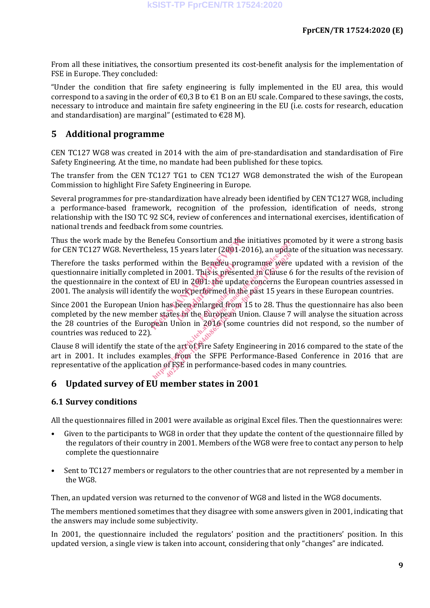From all these initiatives, the consortium presented its cost-benefit analysis for the implementation of FSE in Europe. They concluded:

"Under the condition that fire safety engineering is fully implemented in the EU area, this would correspond to a saving in the order of  $\epsilon 0.3 B$  to  $\epsilon 1 B$  on an EU scale. Compared to these savings, the costs, necessary to introduce and maintain fire safety engineering in the EU (i.e. costs for research, education and standardisation) are marginal" (estimated to  $\epsilon$ 28 M).

# **5 Additional programme**

CEN TC127 WG8 was created in 2014 with the aim of pre-standardisation and standardisation of Fire Safety Engineering. At the time, no mandate had been published for these topics.

The transfer from the CEN TC127 TG1 to CEN TC127 WG8 demonstrated the wish of the European Commission to highlight Fire Safety Engineering in Europe.

Several programmes for pre-standardization have already been identified by CEN TC127 WG8, including a performance-based framework, recognition of the profession, identification of needs, strong relationship with the ISO TC 92 SC4, review of conferences and international exercises, identification of national trends and feedback from some countries.

Thus the work made by the Benefeu Consortium and the initiatives promoted by it were a strong basis for CEN TC127 WG8. Nevertheless, 15 years later (2001-2016), an update of the situation was necessary.

Therefore the tasks performed within the Benefeu programme were updated with a revision of the questionnaire initially completed in 2001. This is presented in Clause 6 for the results of the revision of the questionnaire in the context of EU in 2001: the update concerns the European countries assessed in 2001. The analysis will identify the work performed in the past 15 years in these European countries. Benefeu Consortium and the init<br>eless, 15 years later (2001-2016)<br>ied within the Benefeu-program<br>eted in 2001. This is presented in<br>ext of EU in 2001: the update con<br>fy the work performed in the pass<br>ion has been enlarged (in the Benered pr<br>(2001. This is prese.<br>(U in 2001. the upda<br>(ork performed in the<br>been enlarged from<br>sain the European beless, 15 years later (2001-2016), an update<br>ed within the Benefeu-programme were used within the Benefeu-programme were the in 2001. This is presented in Clause 6 is<br>ext of EU in 2001: the update concerns the<br>control of within the Benefeu programme were<br>in 2001. This is presented in Clause 6<br>f EU in 2001: the update concerns the<br>e work performed in the past 15 year<br>as been enlarged from 15 to 28. Thus<br>ates in the European Union. Clause 7

Since 2001 the European Union has been enlarged from 15 to 28. Thus the questionnaire has also been completed by the new member states in the European Union. Clause 7 will analyse the situation across the 28 countries of the European Union in 2016 (some countries did not respond, so the number of countries was reduced to 22). rformed in<br>nlarged fror<br>e European

Clause 8 will identify the state of the art of Fire Safety Engineering in 2016 compared to the state of the art in 2001. It includes examples from the SFPE Performance-Based Conference in 2016 that are representative of the application of FSE in performance-based codes in many countries.

# **6 Updated survey of EU member states in 2001**

### **6.1 Survey conditions**

All the questionnaires filled in 2001 were available as original Excel files. Then the questionnaires were:

- Given to the participants to WG8 in order that they update the content of the questionnaire filled by the regulators of their country in 2001. Members of the WG8 were free to contact any person to help complete the questionnaire
- Sent to TC127 members or regulators to the other countries that are not represented by a member in the WG8.

Then, an updated version was returned to the convenor of WG8 and listed in the WG8 documents.

The members mentioned sometimes that they disagree with some answers given in 2001, indicating that the answers may include some subjectivity.

In 2001, the questionnaire included the regulators' position and the practitioners' position. In this updated version, a single view is taken into account, considering that only "changes" are indicated.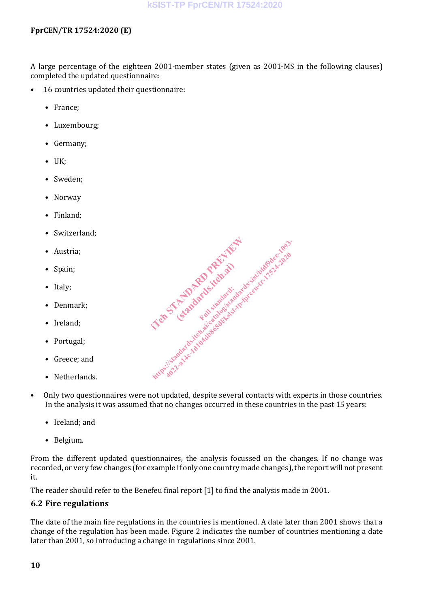A large percentage of the eighteen 2001-member states (given as 2001-MS in the following clauses) completed the updated questionnaire:

- 16 countries updated their questionnaire:
	- France;
	- Luxembourg;
	- Germany;
	- $\bullet$  UK;
	- Sweden;
	- Norway
	- Finland;
	- Switzerland;
	- Austria;
	- Spain;
	- Italy;
	- Denmark;
	- Ireland;
	- Portugal;
	- Greece; and
	- Netherlands.
- Only two questionnaires were not updated, despite several contacts with experts in those countries. In the analysis it was assumed that no changes occurred in these countries in the past 15 years:
	- Iceland; and
	- Belgium.

From the different updated questionnaires, the analysis focussed on the changes. If no change was recorded, or very few changes (for example if only one country made changes), the report will not present it.

The reader should refer to the Benefeu final report [1] to find the analysis made in 2001.

### **6.2 Fire regulations**

The date of the main fire regulations in the countries is mentioned. A date later than 2001 shows that a change of the regulation has been made. Figure 2 indicates the number of countries mentioning a date later than 2001, so introducing a change in regulations since 2001.